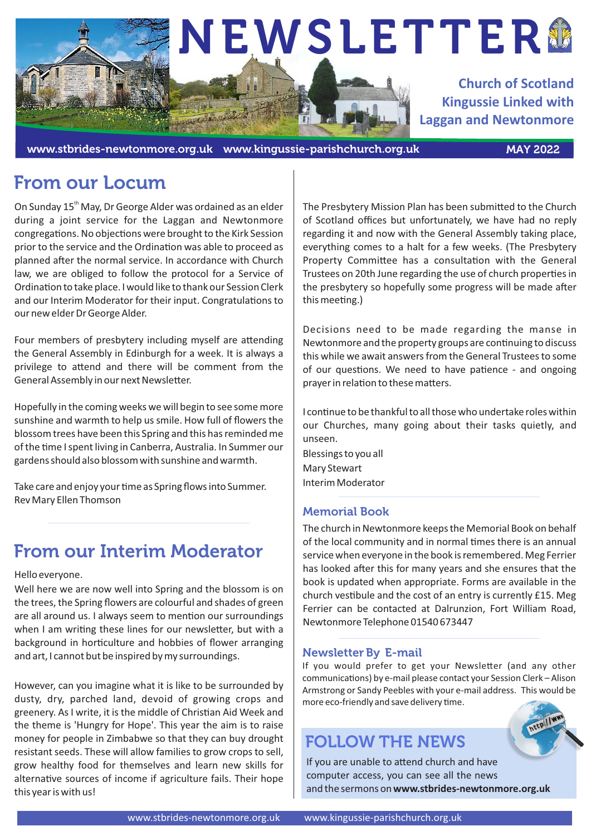

www.stbrides-newtonmore.org.uk www.kingussie-parishchurch.org.uk MAY 2022

# From our Locum

On Sunday 15<sup>th</sup> May, Dr George Alder was ordained as an elder during a joint service for the Laggan and Newtonmore congregations. No objections were brought to the Kirk Session prior to the service and the Ordination was able to proceed as planned after the normal service. In accordance with Church law, we are obliged to follow the protocol for a Service of Ordination to take place. I would like to thank our Session Clerk and our Interim Moderator for their input. Congratulations to our new elder Dr George Alder.

Four members of presbytery including myself are attending the General Assembly in Edinburgh for a week. It is always a privilege to attend and there will be comment from the General Assembly in our next Newsletter.

Hopefully in the coming weeks we will begin to see some more sunshine and warmth to help us smile. How full of flowers the blossom trees have been this Spring and this has reminded me of the time I spent living in Canberra, Australia. In Summer our gardens should also blossom with sunshine and warmth.

Take care and enjoy your time as Spring flows into Summer. Rev Mary Ellen Thomson

# From our Interim Moderator

Hello everyone.

Well here we are now well into Spring and the blossom is on the trees, the Spring flowers are colourful and shades of green are all around us. I always seem to mention our surroundings when I am writing these lines for our newsletter, but with a background in horticulture and hobbies of flower arranging and art, I cannot but be inspired by my surroundings.

However, can you imagine what it is like to be surrounded by dusty, dry, parched land, devoid of growing crops and greenery. As I write, it is the middle of Christian Aid Week and the theme is 'Hungry for Hope'. This year the aim is to raise money for people in Zimbabwe so that they can buy drought resistant seeds. These will allow families to grow crops to sell, grow healthy food for themselves and learn new skills for alternative sources of income if agriculture fails. Their hope this year is with us!

The Presbytery Mission Plan has been submitted to the Church of Scotland offices but unfortunately, we have had no reply regarding it and now with the General Assembly taking place, everything comes to a halt for a few weeks. (The Presbytery Property Committee has a consultation with the General Trustees on 20th June regarding the use of church properties in the presbytery so hopefully some progress will be made after this meeting.)

Decisions need to be made regarding the manse in Newtonmore and the property groups are continuing to discuss this while we await answers from the General Trustees to some of our questions. We need to have patience - and ongoing prayer in relation to these matters.

I continue to be thankful to all those who undertake roles within our Churches, many going about their tasks quietly, and unseen.

Blessings to you all Mary Stewart Interim Moderator

## Memorial Book

The church in Newtonmore keeps the Memorial Book on behalf of the local community and in normal times there is an annual service when everyone in the book is remembered. Meg Ferrier has looked after this for many years and she ensures that the book is updated when appropriate. Forms are available in the church vestibule and the cost of an entry is currently  $£15$ . Meg Ferrier can be contacted at Dalrunzion, Fort William Road, Newtonmore Telephone 01540 673447

### Newsletter By E-mail

If you would prefer to get your Newsletter (and any other communications) by e-mail please contact your Session Clerk - Alison Armstrong or Sandy Peebles with your e-mail address. This would be more eco-friendly and save delivery time.

# FOLLOW THE NEWS

If you are unable to attend church and have computer access, you can see all the news and the sermons on **www.stbrides-newtonmore.org.uk**

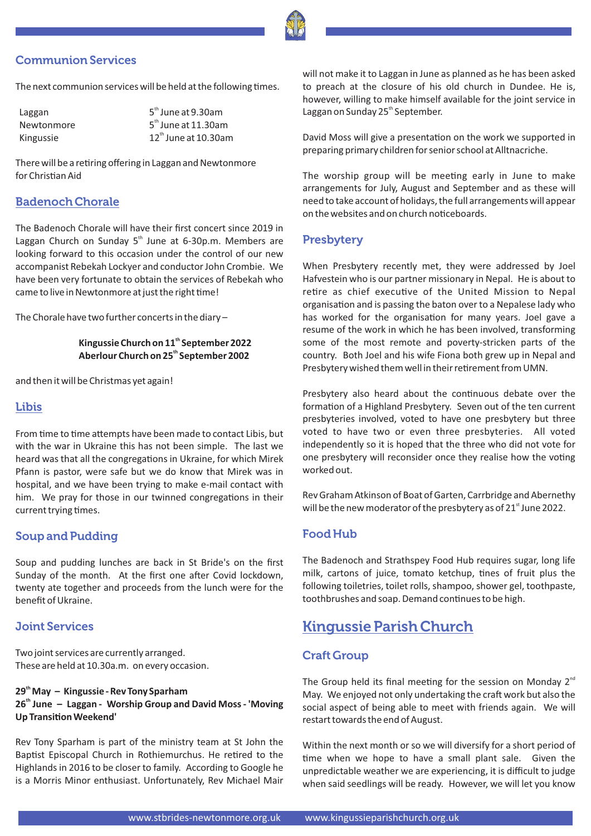### Communion Services

The next communion services will be held at the following times.

| Laggan     |  |
|------------|--|
| Newtonmore |  |
| Kingussie  |  |

Laggan 5<sup>th</sup> June at 9.30am  $Newtonmore$  5<sup>th</sup> June at 11.30am Kingussie aan aan 12<sup>th</sup> June at 10.30am

There will be a retiring offering in Laggan and Newtonmore for Christian Aid

### Badenoch Chorale

The Badenoch Chorale will have their first concert since 2019 in Laggan Church on Sunday  $5<sup>th</sup>$  June at 6-30p.m. Members are looking forward to this occasion under the control of our new accompanist Rebekah Lockyer and conductor John Crombie. We have been very fortunate to obtain the services of Rebekah who came to live in Newtonmore at just the right time!

The Chorale have two further concerts in the diary –

#### **th Kingussie Church on 11 September 2022 th Aberlour Church on 25 September 2002**

and then it will be Christmas yet again!

#### Libis

From time to time attempts have been made to contact Libis, but with the war in Ukraine this has not been simple. The last we heard was that all the congregations in Ukraine, for which Mirek Pfann is pastor, were safe but we do know that Mirek was in hospital, and we have been trying to make e-mail contact with him. We pray for those in our twinned congregations in their current trying times.

#### Soup and Pudding

Soup and pudding lunches are back in St Bride's on the first Sunday of the month. At the first one after Covid lockdown, twenty ate together and proceeds from the lunch were for the benefit of Ukraine.

#### Joint Services

Two joint services are currently arranged. These are held at 10.30a.m. on every occasion.

#### **th 29 May – Kingussie - Rev Tony Sparham th 26 June – Laggan - Worship Group and David Moss - 'Moving Up Transition Weekend'**

Rev Tony Sparham is part of the ministry team at St John the Baptist Episcopal Church in Rothiemurchus. He retired to the Highlands in 2016 to be closer to family. According to Google he is a Morris Minor enthusiast. Unfortunately, Rev Michael Mair

will not make it to Laggan in June as planned as he has been asked to preach at the closure of his old church in Dundee. He is, however, willing to make himself available for the joint service in Laggan on Sunday 25<sup>th</sup> September.

David Moss will give a presentation on the work we supported in preparing primary children for senior school at Alltnacriche.

The worship group will be meeting early in June to make arrangements for July, August and September and as these will need to take account of holidays, the full arrangements will appear on the websites and on church noticeboards.

#### **Presbytery**

When Presbytery recently met, they were addressed by Joel Hafvestein who is our partner missionary in Nepal. He is about to retire as chief executive of the United Mission to Nepal organisation and is passing the baton over to a Nepalese lady who has worked for the organisation for many years. Joel gave a resume of the work in which he has been involved, transforming some of the most remote and poverty-stricken parts of the country. Both Joel and his wife Fiona both grew up in Nepal and Presbytery wished them well in their retirement from UMN.

Presbytery also heard about the continuous debate over the formation of a Highland Presbytery. Seven out of the ten current presbyteries involved, voted to have one presbytery but three voted to have two or even three presbyteries. All voted independently so it is hoped that the three who did not vote for one presbytery will reconsider once they realise how the voting worked out.

Rev Graham Atkinson of Boat of Garten, Carrbridge and Abernethy will be the new moderator of the presbytery as of  $21<sup>st</sup>$  June 2022.

#### Food Hub

The Badenoch and Strathspey Food Hub requires sugar, long life milk, cartons of juice, tomato ketchup, tines of fruit plus the following toiletries, toilet rolls, shampoo, shower gel, toothpaste, toothbrushes and soap. Demand continues to be high.

# Kingussie Parish Church

#### Craft Group

The Group held its final meeting for the session on Monday  $2^{nd}$ May. We enjoyed not only undertaking the craft work but also the social aspect of being able to meet with friends again. We will restart towards the end of August.

Within the next month or so we will diversify for a short period of me when we hope to have a small plant sale. Given the unpredictable weather we are experiencing, it is difficult to judge when said seedlings will be ready. However, we will let you know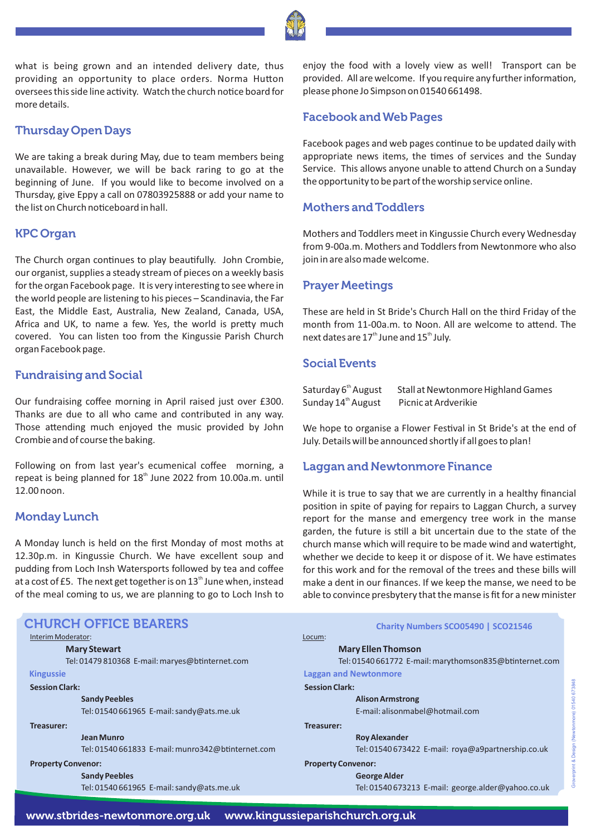what is being grown and an intended delivery date, thus providing an opportunity to place orders. Norma Hutton oversees this side line activity. Watch the church notice board for more details.

#### Thursday Open Days

We are taking a break during May, due to team members being unavailable. However, we will be back raring to go at the beginning of June. If you would like to become involved on a Thursday, give Eppy a call on 07803925888 or add your name to the list on Church noticeboard in hall.

#### KPC Organ

The Church organ continues to play beautifully. John Crombie, our organist, supplies a steady stream of pieces on a weekly basis for the organ Facebook page. It is very interesting to see where in the world people are listening to his pieces – Scandinavia, the Far East, the Middle East, Australia, New Zealand, Canada, USA, Africa and UK, to name a few. Yes, the world is pretty much covered. You can listen too from the Kingussie Parish Church organ Facebook page.

#### Fundraising and Social

Our fundraising coffee morning in April raised just over £300. Thanks are due to all who came and contributed in any way. Those attending much enjoyed the music provided by John Crombie and of course the baking.

Following on from last year's ecumenical coffee morning, a repeat is being planned for 18<sup>th</sup> June 2022 from 10.00a.m. until 12.00 noon.

#### Monday Lunch

A Monday lunch is held on the first Monday of most moths at 12.30p.m. in Kingussie Church. We have excellent soup and pudding from Loch Insh Watersports followed by tea and coffee at a cost of £5. The next get together is on  $13^\mathrm{th}$  June when, instead of the meal coming to us, we are planning to go to Loch Insh to

#### **Treasurer: Roy Alexander** Tel: 01540 673422 E-mail: roya@a9partnership.co.uk **Treasurer: Jean Munro** Tel: 01540 661833 E-mail: munro342@btinternet.com **Property Convenor: George Alder** Tel: 01540 673213 E-mail: george.alder@yahoo.co.uk **Property Convenor: Sandy Peebles**  Tel: 01540 661965 E-mail: sandy@ats.me.uk **Charity Numbers SCO05490 | SCO21546 Kingussie Laggan and Newtonmore** Interim Moderator: **Mary Stewart**  Tel: 01479 810368 E-mail: marves@btinternet.com Locum: **Mary Ellen Thomson**  Tel: 01540 661772 E-mail: marythomson835@btinternet.com **Session Clark: Alison Armstrong**  E-mail: alisonmabel@hotmail.com **Session Clark: Sandy Peebles**  Tel: 01540 661965 E-mail: sandy@ats.me.uk CHURCH OFFICE BEARERS

enjoy the food with a lovely view as well! Transport can be provided. All are welcome. If you require any further information, please phone Jo Simpson on 01540 661498.

#### Facebook and Web Pages

Facebook pages and web pages continue to be updated daily with appropriate news items, the times of services and the Sunday Service. This allows anyone unable to attend Church on a Sunday the opportunity to be part of the worship service online.

### Mothers and Toddlers

Mothers and Toddlers meet in Kingussie Church every Wednesday from 9-00a.m. Mothers and Toddlers from Newtonmore who also join in are also made welcome.

#### Prayer Meetings

These are held in St Bride's Church Hall on the third Friday of the month from 11-00a.m. to Noon. All are welcome to attend. The next dates are  $17^{\text{th}}$  June and  $15^{\text{th}}$  July.

#### Social Events

| Saturday 6 <sup>th</sup> August | Stall at Newtonmore Highland Games |
|---------------------------------|------------------------------------|
| Sunday 14 <sup>th</sup> August  | Picnic at Ardverikie               |

We hope to organise a Flower Festival in St Bride's at the end of July. Details will be announced shortly if all goes to plan!

#### Laggan and Newtonmore Finance

While it is true to say that we are currently in a healthy financial position in spite of paying for repairs to Laggan Church, a survey report for the manse and emergency tree work in the manse garden, the future is still a bit uncertain due to the state of the church manse which will require to be made wind and watertight, whether we decide to keep it or dispose of it. We have estimates for this work and for the removal of the trees and these bills will make a dent in our finances. If we keep the manse, we need to be able to convince presbytery that the manse is fit for a new minister